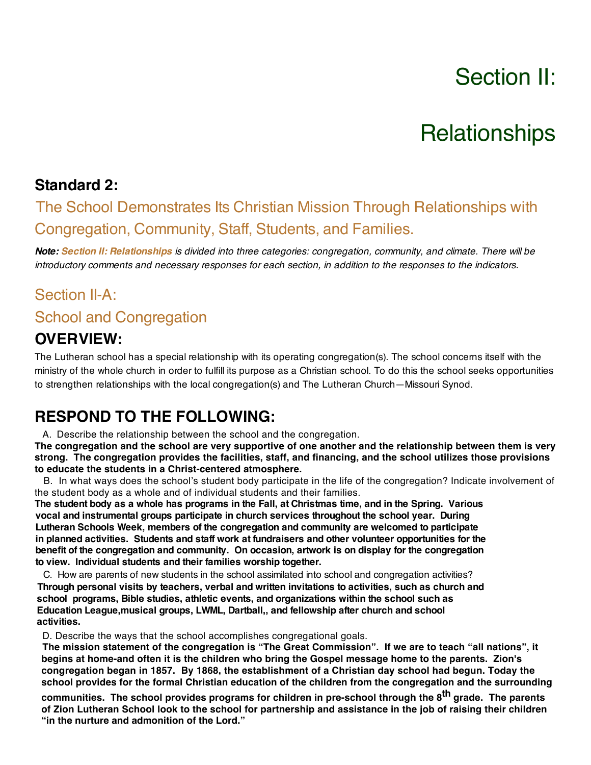# Section II:

# **Relationships**

#### **Standard 2:**

# The School Demonstrates Its Christian Mission Through Relationships with Congregation, Community, Staff, Students, and Families.

Note: Section II: Relationships is divided into three categories: congregation, community, and climate. There will be *introductory comments and necessary responses for each section, in addition to the responses to the indicators.*

# Section II-A:

#### School and Congregation

#### **OVERVIEW:**

The Lutheran school has a special relationship with its operating congregation(s). The school concerns itself with the ministry of the whole church in order to fulfill its purpose as a Christian school. To do this the school seeks opportunities to strengthen relationships with the local congregation(s) and The Lutheran Church—Missouri Synod.

#### **RESPOND TO THE FOLLOWING:**

A. Describe the relationship between the school and the congregation.

**The congregation and the school are very supportive of one another and the relationship between them is very strong. The congregation provides the facilities, staff, and financing, and the school utilizes those provisions to educate the students in a Christ-centered atmosphere.**

 B. In what ways does the school's student body participate in the life of the congregation? Indicate involvement of the student body as a whole and of individual students and their families.

The student body as a whole has programs in the Fall, at Christmas time, and in the Spring. Various **vocal and instrumental groups participate in church services throughout the school year. During Lutheran Schools Week, members of the congregation and community are welcomed to participate in planned activities. Students and staff work at fundraisers and other volunteer opportunities for the benefit of the congregation and community. On occasion, artwork is on display for the congregation to view. Individual students and their families worship together.**

 C. How are parents of new students in the school assimilated into school and congregation activities? **Through personal visits by teachers, verbal and written invitations to activities, such as church and school programs, Bible studies, athletic events, and organizations within the school such as Education League,musical groups, LWML, Dartball,, and fellowship after church and school activities.**

D. Describe the ways that the school accomplishes congregational goals.

**The mission statement of the congregation is "The Great Commission". If we are to teach "all nations", it begins at home-and often it is the children who bring the Gospel message home to the parents. Zion's congregation began in 1857. By 1868, the establishment of a Christian day school had begun. Today the school provides for the formal Christian education of the children from the congregation and the surrounding** 

**communities. The school provides programs for children in pre-school through the 8th grade. The parents of Zion Lutheran School look to the school for partnership and assistance in the job of raising their children "in the nurture and admonition of the Lord."**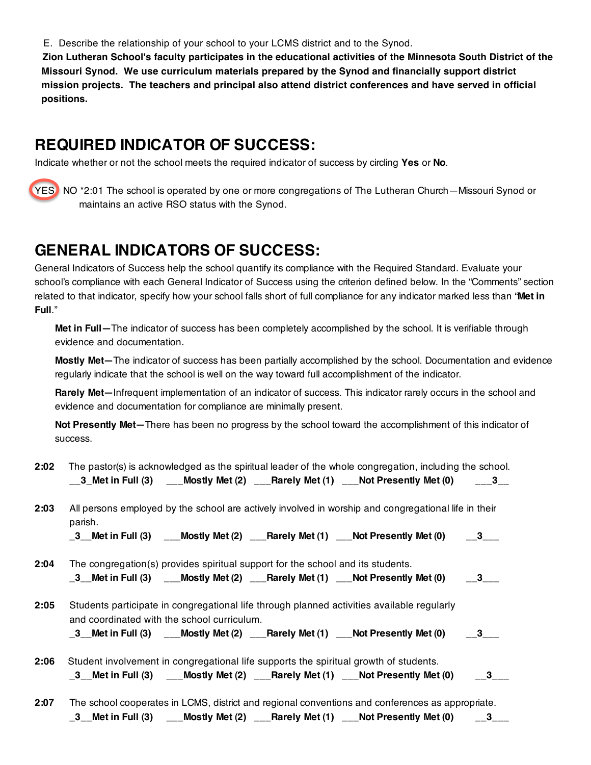E. Describe the relationship of your school to your LCMS district and to the Synod.

**Zion Lutheran School's faculty participates in the educational activities of the Minnesota South District of the Missouri Synod. We use curriculum materials prepared by the Synod and financially support district mission projects. The teachers and principal also attend district conferences and have served in official positions.**

#### **REQUIRED INDICATOR OF SUCCESS:**

Indicate whether or not the school meets the required indicator of success by circling **Yes** or **No**.



YES NO \*2:01 The school is operated by one or more congregations of The Lutheran Church—Missouri Synod or maintains an active RSO status with the Synod.

### **GENERAL INDICATORS OF SUCCESS:**

General Indicators of Success help the school quantify its compliance with the Required Standard. Evaluate your school's compliance with each General Indicator of Success using the criterion defined below. In the "Comments" section related to that indicator, specify how your school falls short of full compliance for any indicator marked less than "**Met in Full**."

**Met in Full—**The indicator of success has been completely accomplished by the school. It is verifiable through evidence and documentation.

**Mostly Met—**The indicator of success has been partially accomplished by the school. Documentation and evidence regularly indicate that the school is well on the way toward full accomplishment of the indicator.

**Rarely Met—**Infrequent implementation of an indicator of success. This indicator rarely occurs in the school and evidence and documentation for compliance are minimally present.

**Not Presently Met—**There has been no progress by the school toward the accomplishment of this indicator of success.

| 2:02 | The pastor(s) is acknowledged as the spiritual leader of the whole congregation, including the school.<br>$3\_$ Met in Full $(3)$ $\qquad \qquad$ Mostly Met $(2)$ $\qquad$ Rarely Met $(1)$ $\qquad$ Not Presently Met $(0)$ $\qquad \qquad$ $\qquad \qquad$ $3\_$ |
|------|---------------------------------------------------------------------------------------------------------------------------------------------------------------------------------------------------------------------------------------------------------------------|
| 2:03 | All persons employed by the school are actively involved in worship and congregational life in their<br>parish.                                                                                                                                                     |
|      | _3__Met in Full (3) $\qquad$ __Mostly Met (2) $\qquad$ __Rarely Met (1) $\qquad$ __Not Presently Met (0) $\qquad$ __3___                                                                                                                                            |
| 2:04 | The congregation(s) provides spiritual support for the school and its students.<br>_3__Met in Full (3) $\qquad$ __Mostly Met (2) $\qquad$ __Rarely Met (1) $\qquad$ __Not Presently Met (0) $\qquad$ __3___                                                         |
| 2:05 | Students participate in congregational life through planned activities available regularly<br>and coordinated with the school curriculum.                                                                                                                           |
|      | $\_3$ Met in Full (3) $\qquad$ Mostly Met (2) $\qquad$ Rarely Met (1) $\qquad$ Not Presently Met (0) $\qquad$ $\_3$                                                                                                                                                 |
| 2:06 | Student involvement in congregational life supports the spiritual growth of students.<br>_3__Met in Full (3) $\qquad$ ___Mostly Met (2) $\qquad$ __Rarely Met (1) $\qquad$ __Not Presently Met (0) $\qquad$ __3___                                                  |
| 2:07 | The school cooperates in LCMS, district and regional conventions and conferences as appropriate.                                                                                                                                                                    |
|      | _3__Met in Full (3) $\quad$ ___Mostly Met (2) $\quad$ ___Rarely Met (1) $\quad$ ___Not Presently Met (0) $\quad$ __3___                                                                                                                                             |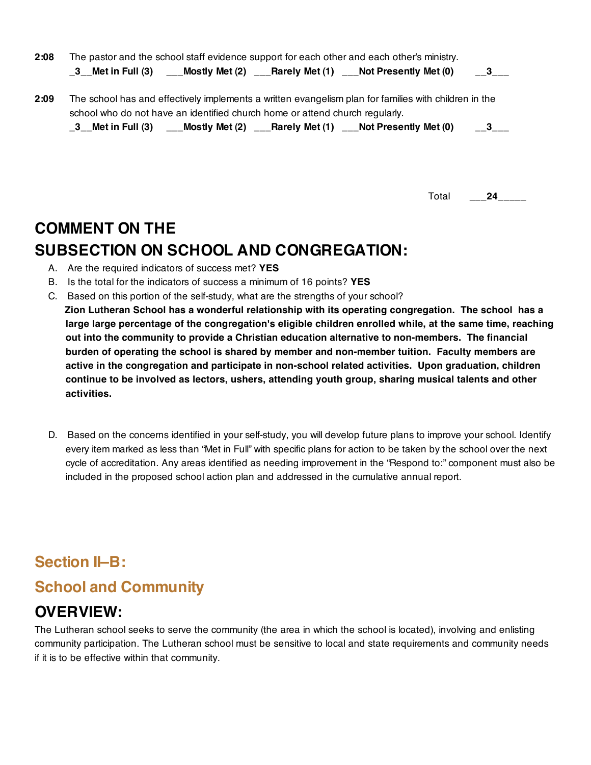| 2:08 | The pastor and the school staff evidence support for each other and each other's ministry.                                                                                            |                         |
|------|---------------------------------------------------------------------------------------------------------------------------------------------------------------------------------------|-------------------------|
|      | _3__Met in Full (3)  ___Mostly Met (2)  ___Rarely Met (1)  ___Not Presently Met (0)                                                                                                   | $\overline{\mathbf{3}}$ |
| 2:09 | The school has and effectively implements a written evangelism plan for families with children in the<br>school who do not have an identified church home or attend church regularly. |                         |
|      | $\_3$ Met in Full (3) $\quad$ Mostly Met (2) $\quad$ Rarely Met (1) $\quad$ Not Presently Met (0)                                                                                     | 3                       |

Total \_\_\_**24\_**\_\_\_\_

# **COMMENT ON THE SUBSECTION ON SCHOOL AND CONGREGATION:**

- A. Are the required indicators of success met? **YES**
- B. Is the total for the indicators of success a minimum of 16 points? **YES**
- C. Based on this portion of the self-study, what are the strengths of your school?
	- **Zion Lutheran School has a wonderful relationship with its operating congregation. The school has a large large percentage of the congregation's eligible children enrolled while, at the same time, reaching out into the community to provide a Christian education alternative to non-members. The financial burden of operating the school is shared by member and non-member tuition. Faculty members are active in the congregation and participate in non-school related activities. Upon graduation, children continue to be involved as lectors, ushers, attending youth group, sharing musical talents and other activities.**
- D. Based on the concerns identified in your self-study, you will develop future plans to improve your school. Identify every item marked as less than "Met in Full" with specific plans for action to be taken by the school over the next cycle of accreditation. Any areas identified as needing improvement in the "Respond to:" component must also be included in the proposed school action plan and addressed in the cumulative annual report.

# **Section II–B:**

# **School and Community**

# **OVERVIEW:**

The Lutheran school seeks to serve the community (the area in which the school is located), involving and enlisting community participation. The Lutheran school must be sensitive to local and state requirements and community needs if it is to be effective within that community.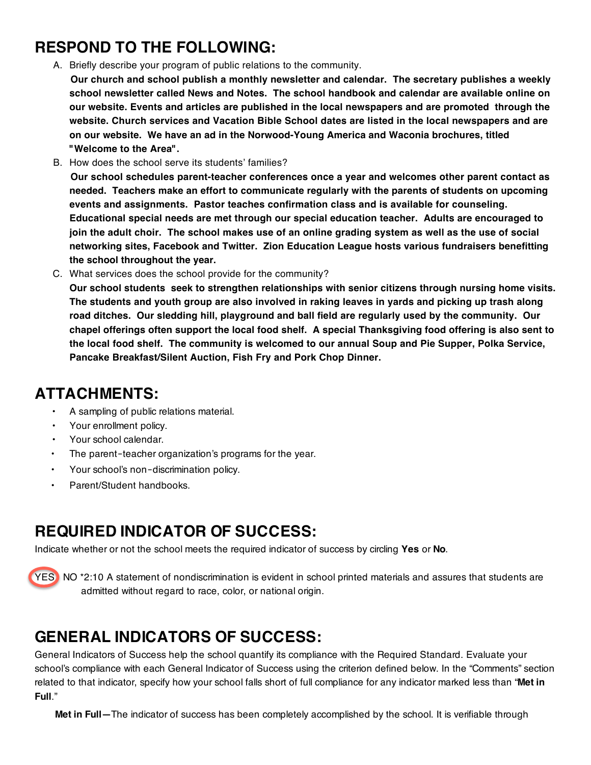## **RESPOND TO THE FOLLOWING:**

A. Briefly describe your program of public relations to the community.

 **Our church and school publish a monthly newsletter and calendar. The secretary publishes a weekly school newsletter called News and Notes. The school handbook and calendar are available online on our website. Events and articles are published in the local newspapers and are promoted through the website. Church services and Vacation Bible School dates are listed in the local newspapers and are on our website. We have an ad in the Norwood-Young America and Waconia brochures, titled "Welcome to the Area".**

B. How does the school serve its students' families?

 **Our school schedules parent-teacher conferences once a year and welcomes other parent contact as needed. Teachers make an effort to communicate regularly with the parents of students on upcoming events and assignments. Pastor teaches confirmation class and is available for counseling. Educational special needs are met through our special education teacher. Adults are encouraged to join the adult choir. The school makes use of an online grading system as well as the use of social networking sites, Facebook and Twitter. Zion Education League hosts various fundraisers benefitting the school throughout the year.**

C. What services does the school provide for the community?

 **Our school students seek to strengthen relationships with senior citizens through nursing home visits. The students and youth group are also involved in raking leaves in yards and picking up trash along road ditches. Our sledding hill, playground and ball field are regularly used by the community. Our chapel offerings often support the local food shelf. A special Thanksgiving food offering is also sent to the local food shelf. The community is welcomed to our annual Soup and Pie Supper, Polka Service, Pancake Breakfast/Silent Auction, Fish Fry and Pork Chop Dinner.** 

#### **ATTACHMENTS:**

- A sampling of public relations material.
- Your enrollment policy.
- Your school calendar.
- The parent–teacher organization's programs for the year.
- Your school's non-discrimination policy.
- Parent/Student handbooks.

# **REQUIRED INDICATOR OF SUCCESS:**

Indicate whether or not the school meets the required indicator of success by circling **Yes** or **No**.



YES NO \*2:10 A statement of nondiscrimination is evident in school printed materials and assures that students are admitted without regard to race, color, or national origin.

# **GENERAL INDICATORS OF SUCCESS:**

General Indicators of Success help the school quantify its compliance with the Required Standard. Evaluate your school's compliance with each General Indicator of Success using the criterion defined below. In the "Comments" section related to that indicator, specify how your school falls short of full compliance for any indicator marked less than "**Met in Full**."

**Met in Full—**The indicator of success has been completely accomplished by the school. It is verifiable through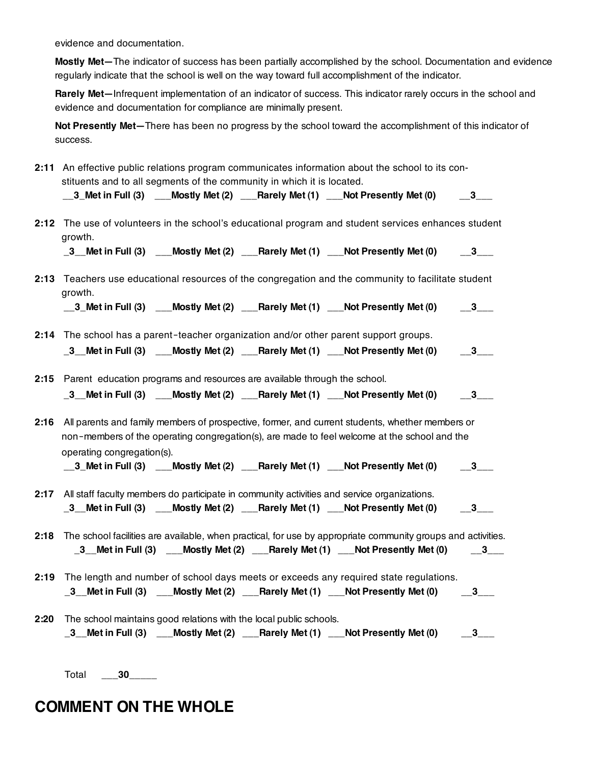evidence and documentation.

**Mostly Met—**The indicator of success has been partially accomplished by the school. Documentation and evidence regularly indicate that the school is well on the way toward full accomplishment of the indicator.

**Rarely Met—**Infrequent implementation of an indicator of success. This indicator rarely occurs in the school and evidence and documentation for compliance are minimally present.

**Not Presently Met—**There has been no progress by the school toward the accomplishment of this indicator of success.

**2:11** An effective public relations program communicates information about the school to its con‐ stituents and to all segments of the community in which it is located.

| $\_3\_$ Met in Full $(3)$ |  |  | ___Mostly Met (2) ___Rarely Met (1) ___Not Presently Met (0) |  |
|---------------------------|--|--|--------------------------------------------------------------|--|
|---------------------------|--|--|--------------------------------------------------------------|--|

**2:12** The use of volunteers in the school's educational program and student services enhances student growth.

**\_3\_\_Met in Full (3) \_\_\_Mostly Met (2) \_\_\_Rarely Met (1) \_\_\_Not Presently Met (0) \_\_3\_\_\_**

**2:13** Teachers use educational resources of the congregation and the community to facilitate student growth.

**\_\_3\_Met in Full (3) \_\_\_Mostly Met (2) \_\_\_Rarely Met (1) \_\_\_Not Presently Met (0) \_\_3\_\_\_**

**2:14** The school has a parent-teacher organization and/or other parent support groups.

**\_3\_\_Met in Full (3) \_\_\_Mostly Met (2) \_\_\_Rarely Met (1) \_\_\_Not Presently Met (0) \_\_3\_\_\_**

**2:15** Parent education programs and resources are available through the school.

- **\_3\_\_Met in Full (3) \_\_\_Mostly Met (2) \_\_\_Rarely Met (1) \_\_\_Not Presently Met (0) \_\_3\_\_\_**
- **2:16** All parents and family members of prospective, former, and current students, whether members or non‑members of the operating congregation(s), are made to feel welcome at the school and the operating congregation(s).

**\_\_3\_Met in Full (3) \_\_\_Mostly Met (2) \_\_\_Rarely Met (1) \_\_\_Not Presently Met (0) \_\_3\_\_\_**

- **2:17** All staff faculty members do participate in community activities and service organizations. **\_3\_\_Met in Full (3) \_\_\_Mostly Met (2) \_\_\_Rarely Met (1) \_\_\_Not Presently Met (0) \_\_3\_\_\_**
- **2:18** The school facilities are available, when practical, for use by appropriate community groups and activities. **\_3\_\_Met in Full (3) \_\_\_Mostly Met (2) \_\_\_Rarely Met (1) \_\_\_Not Presently Met (0) \_\_3\_\_\_**
- **2:19** The length and number of school days meets or exceeds any required state regulations. **\_3\_\_Met in Full (3) \_\_\_Mostly Met (2) \_\_\_Rarely Met (1) \_\_\_Not Presently Met (0) \_\_3\_\_\_**
- **2:20** The school maintains good relations with the local public schools.

|  | $\_3$ $\_$ Met in Full $(3)$ | $\_\_\_\$ Mostly Met $(2)$ $\_\_\_\_\$ Rarely Met $(1)$ |  | <b>___Not Presently Met (0)</b> |  |
|--|------------------------------|---------------------------------------------------------|--|---------------------------------|--|
|--|------------------------------|---------------------------------------------------------|--|---------------------------------|--|

Total \_\_**\_30\_**\_\_\_\_

#### **COMMENT ON THE WHOLE**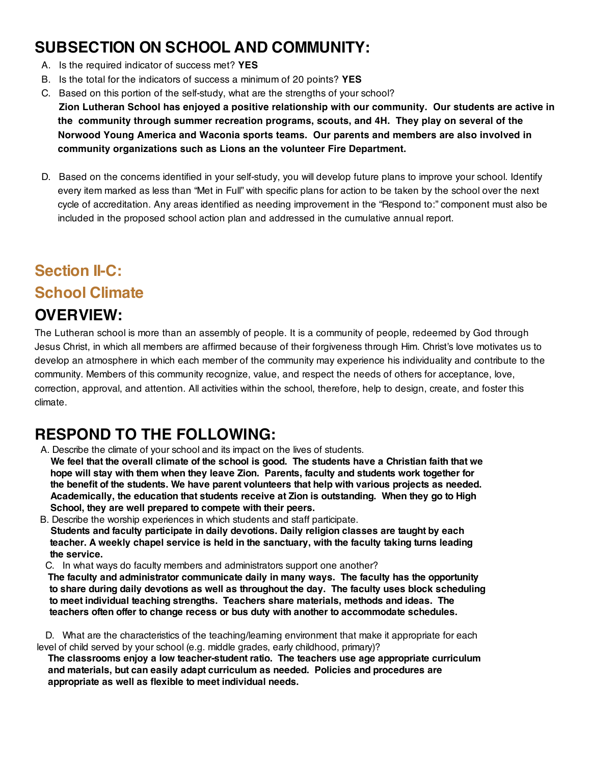### **SUBSECTION ON SCHOOL AND COMMUNITY:**

- A. Is the required indicator of success met? **YES**
- B. Is the total for the indicators of success a minimum of 20 points? **YES**
- C. Based on this portion of the self-study, what are the strengths of your school?

**Zion Lutheran School has enjoyed a positive relationship with our community. Our students are active in the community through summer recreation programs, scouts, and 4H. They play on several of the Norwood Young America and Waconia sports teams. Our parents and members are also involved in community organizations such as Lions an the volunteer Fire Department.**

D. Based on the concerns identified in your self-study, you will develop future plans to improve your school. Identify every item marked as less than "Met in Full" with specific plans for action to be taken by the school over the next cycle of accreditation. Any areas identified as needing improvement in the "Respond to:" component must also be included in the proposed school action plan and addressed in the cumulative annual report.

# **Section II-C:**

#### **School Climate**

#### **OVERVIEW:**

The Lutheran school is more than an assembly of people. It is a community of people, redeemed by God through Jesus Christ, in which all members are affirmed because of their forgiveness through Him. Christ's love motivates us to develop an atmosphere in which each member of the community may experience his individuality and contribute to the community. Members of this community recognize, value, and respect the needs of others for acceptance, love, correction, approval, and attention. All activities within the school, therefore, help to design, create, and foster this climate.

# **RESPOND TO THE FOLLOWING:**

A. Describe the climate of your school and its impact on the lives of students.

We feel that the overall climate of the school is good. The students have a Christian faith that we **hope will stay with them when they leave Zion. Parents, faculty and students work together for the benefit of the students. We have parent volunteers that help with various projects as needed. Academically, the education that students receive at Zion is outstanding. When they go to High School, they are well prepared to compete with their peers.**

B. Describe the worship experiences in which students and staff participate. **Students and faculty participate in daily devotions. Daily religion classes are taught by each teacher. A weekly chapel service is held in the sanctuary, with the faculty taking turns leading the service.**

C. In what ways do faculty members and administrators support one another?

**The faculty and administrator communicate daily in many ways. The faculty has the opportunity to share during daily devotions as well as throughout the day. The faculty uses block scheduling to meet individual teaching strengths. Teachers share materials, methods and ideas. The teachers often offer to change recess or bus duty with another to accommodate schedules.**

D. What are the characteristics of the teaching/learning environment that make it appropriate for each level of child served by your school (e.g. middle grades, early childhood, primary)?

**The classrooms enjoy a low teacher-student ratio. The teachers use age appropriate curriculum and materials, but can easily adapt curriculum as needed. Policies and procedures are appropriate as well as flexible to meet individual needs.**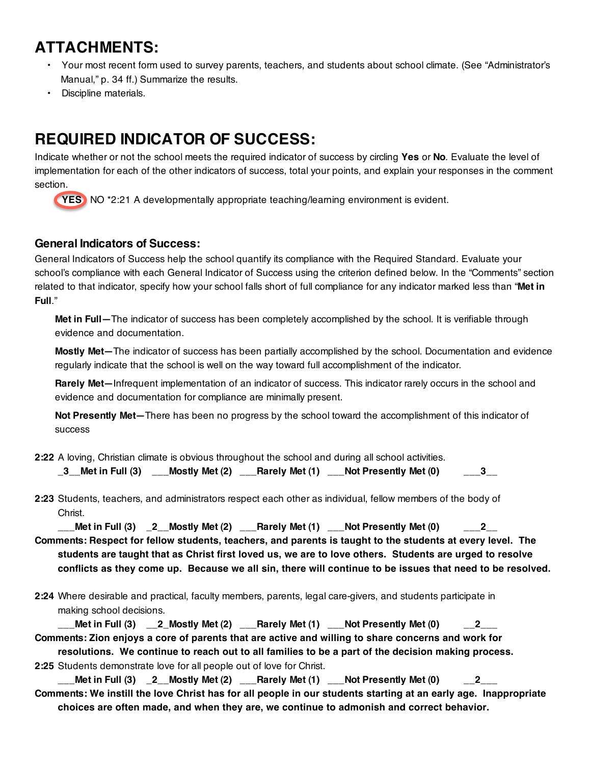# **ATTACHMENTS:**

- Your most recent form used to survey parents, teachers, and students about school climate. (See "Administrator's Manual," p. 34 ff.) Summarize the results.
- Discipline materials.

# **REQUIRED INDICATOR OF SUCCESS:**

Indicate whether or not the school meets the required indicator of success by circling **Yes** or **No**. Evaluate the level of implementation for each of the other indicators of success, total your points, and explain your responses in the comment section.



#### **General Indicators of Success:**

General Indicators of Success help the school quantify its compliance with the Required Standard. Evaluate your school's compliance with each General Indicator of Success using the criterion defined below. In the "Comments" section related to that indicator, specify how your school falls short of full compliance for any indicator marked less than "**Met in Full**."

**Met in Full—**The indicator of success has been completely accomplished by the school. It is verifiable through evidence and documentation.

**Mostly Met—**The indicator of success has been partially accomplished by the school. Documentation and evidence regularly indicate that the school is well on the way toward full accomplishment of the indicator.

**Rarely Met—**Infrequent implementation of an indicator of success. This indicator rarely occurs in the school and evidence and documentation for compliance are minimally present.

**Not Presently Met—**There has been no progress by the school toward the accomplishment of this indicator of success

**2:22** A loving, Christian climate is obvious throughout the school and during all school activities.

| $\_3$ Met in Full $(3)$ |  |  | ___Mostly Met (2) ___Rarely Met (1) ___Not Presently Met (0) | $-3$ |
|-------------------------|--|--|--------------------------------------------------------------|------|
|-------------------------|--|--|--------------------------------------------------------------|------|

**2:23** Students, teachers, and administrators respect each other as individual, fellow members of the body of Christ.

**\_\_\_Met in Full (3) \_2\_\_Mostly Met (2) \_\_\_Rarely Met (1) \_\_\_Not Presently Met (0) \_\_\_2\_\_ Comments: Respect for fellow students, teachers, and parents is taught to the students at every level. The** 

**students are taught that as Christ first loved us, we are to love others. Students are urged to resolve conflicts as they come up. Because we all sin, there will continue to be issues that need to be resolved.**

**2:24** Where desirable and practical, faculty members, parents, legal care-givers, and students participate in making school decisions.

| _Met in Full $(3)$ __2 Mostly Met $(2)$ ___Rarely Met $(1)$ ___Not Presently Met $(0)$             |  | $-2$ |
|----------------------------------------------------------------------------------------------------|--|------|
| Comments: Zion enjoys a core of parents that are active and willing to share concerns and work for |  |      |
| resolutions. We continue to reach out to all families to be a part of the decision making process. |  |      |

**2:25** Students demonstrate love for all people out of love for Christ.

**\_\_\_Met in Full (3) \_2\_\_Mostly Met (2) \_\_\_Rarely Met (1) \_\_\_Not Presently Met (0) \_\_2\_\_\_ Comments: We instill the love Christ has for all people in our students starting at an early age. Inappropriate choices are often made, and when they are, we continue to admonish and correct behavior.**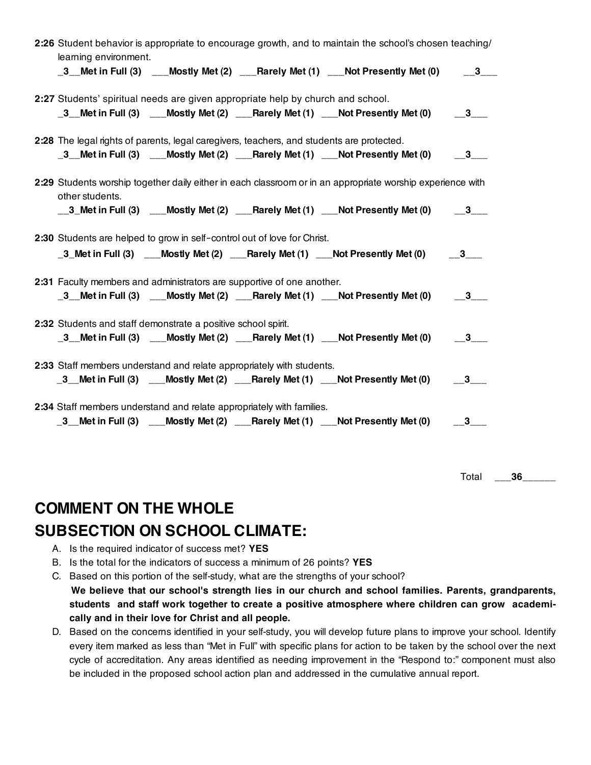| learning environment.                                                                     |  | 2:26 Student behavior is appropriate to encourage growth, and to maintain the school's chosen teaching/                                   |  |
|-------------------------------------------------------------------------------------------|--|-------------------------------------------------------------------------------------------------------------------------------------------|--|
|                                                                                           |  | _3__Met in Full (3) $\quad$ __Mostly Met (2) $\quad$ __Rarely Met (1) $\quad$ __Not Presently Met (0) $\quad$ $\quad$ _3__                |  |
| 2:27 Students' spiritual needs are given appropriate help by church and school.           |  |                                                                                                                                           |  |
|                                                                                           |  | _3 Met in Full (3) ___Mostly Met (2) ___Rarely Met (1) ___Not Presently Met (0) ___3__                                                    |  |
| 2:28 The legal rights of parents, legal caregivers, teachers, and students are protected. |  |                                                                                                                                           |  |
|                                                                                           |  | _3_Met in Full (3) ___Mostly Met (2) ___Rarely Met (1) ___Not Presently Met (0) ___3___                                                   |  |
| other students.                                                                           |  | 2:29 Students worship together daily either in each classroom or in an appropriate worship experience with                                |  |
|                                                                                           |  | $\_\_3$ Met in Full (3) $\_\_$ Mostly Met (2) $\_\_$ Rarely Met (1) $\_\_$ Not Presently Met (0) $\_\_3\_\_$                              |  |
| 2:30 Students are helped to grow in self-control out of love for Christ.                  |  |                                                                                                                                           |  |
|                                                                                           |  |                                                                                                                                           |  |
|                                                                                           |  | _3_Met in Full (3) $\quad$ __Mostly Met (2) $\quad$ __Rarely Met (1) $\quad$ __Not Presently Met (0) $\quad$ $\quad$ _3___                |  |
| 2:31 Faculty members and administrators are supportive of one another.                    |  |                                                                                                                                           |  |
|                                                                                           |  | _3_Met in Full (3) __Mostly Met (2) __Rarely Met (1) __Not Presently Met (0) __3__                                                        |  |
|                                                                                           |  |                                                                                                                                           |  |
| 2:32 Students and staff demonstrate a positive school spirit.                             |  | $\frac{3}{2}$ Met in Full (3) $\frac{3}{2}$ Mostly Met (2) $\frac{1}{2}$ Rarely Met (1) $\frac{1}{2}$ Not Presently Met (0) $\frac{3}{2}$ |  |
| 2:33 Staff members understand and relate appropriately with students.                     |  |                                                                                                                                           |  |
|                                                                                           |  | $\_3$ Met in Full (3) $\qquad$ Mostly Met (2) $\qquad$ Rarely Met (1) $\qquad$ Not Presently Met (0) $\qquad$ $\_3$                       |  |
| 2:34 Staff members understand and relate appropriately with families.                     |  |                                                                                                                                           |  |
|                                                                                           |  | _3__Met in Full (3) $\quad$ ___Mostly Met (2) $\quad$ ___Rarely Met (1) $\quad$ __Not Presently Met (0) $\quad$ __3___                    |  |

Total \_\_**\_36**\_\_\_\_\_\_

# **COMMENT ON THE WHOLE SUBSECTION ON SCHOOL CLIMATE:**

- A. Is the required indicator of success met? **YES**
- B. Is the total for the indicators of success a minimum of 26 points? **YES**
- C. Based on this portion of the self-study, what are the strengths of your school? **We believe that our school's strength lies in our church and school families. Parents, grandparents, students and staff work together to create a positive atmosphere where children can grow academi‐ cally and in their love for Christ and all people.**
- D. Based on the concerns identified in your self-study, you will develop future plans to improve your school. Identify every item marked as less than "Met in Full" with specific plans for action to be taken by the school over the next cycle of accreditation. Any areas identified as needing improvement in the "Respond to:" component must also be included in the proposed school action plan and addressed in the cumulative annual report.